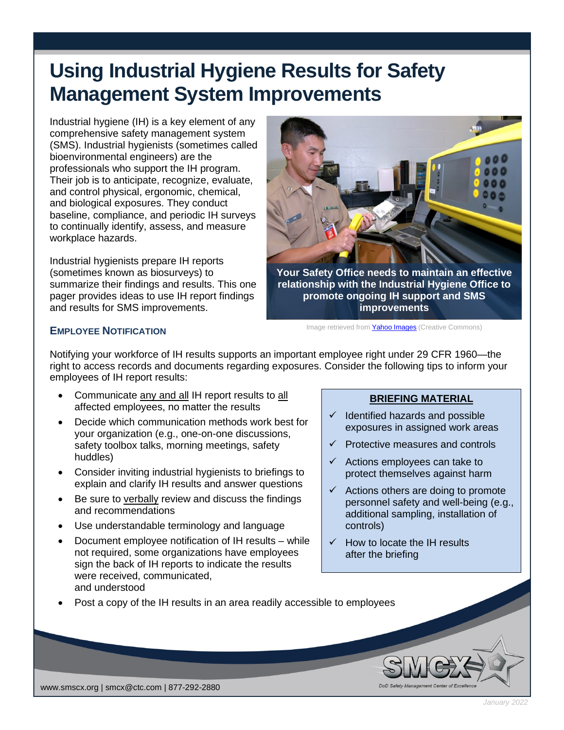# **Using Industrial Hygiene Results for Safety Management System Improvements**

Industrial hygiene (IH) is a key element of any comprehensive safety management system (SMS). Industrial hygienists (sometimes called bioenvironmental engineers) are the professionals who support the IH program. Their job is to anticipate, recognize, evaluate, and control physical, ergonomic, chemical, and biological exposures. They conduct baseline, compliance, and periodic IH surveys to continually identify, assess, and measure workplace hazards.

Industrial hygienists prepare IH reports (sometimes known as biosurveys) to summarize their findings and results. This one pager provides ideas to use IH report findings and results for SMS improvements.



**Your Safety Office needs to maintain an effective relationship with the Industrial Hygiene Office to promote ongoing IH support and SMS improvements**

Image retrieved from **Yahoo Images** (Creative Commons)

## **EMPLOYEE NOTIFICATION**

Notifying your workforce of IH results supports an important employee right under 29 CFR 1960—the right to access records and documents regarding exposures. Consider the following tips to inform your employees of IH report results:

• Communicate any and all IH report results to all affected employees, no matter the results

- Decide which communication methods work best for your organization (e.g., one-on-one discussions, safety toolbox talks, morning meetings, safety huddles)
- Consider inviting industrial hygienists to briefings to explain and clarify IH results and answer questions
- Be sure to verbally review and discuss the findings and recommendations
- Use understandable terminology and language
- Document employee notification of IH results while not required, some organizations have employees sign the back of IH reports to indicate the results were received, communicated, and understood

### **BRIEFING MATERIAL**

- $\checkmark$  Identified hazards and possible exposures in assigned work areas
- Protective measures and controls
- $\checkmark$  Actions employees can take to protect themselves against harm
- $\checkmark$  Actions others are doing to promote personnel safety and well-being (e.g., additional sampling, installation of controls)
- $\checkmark$  How to locate the IH results after the briefing
- Post a copy of the IH results in an area readily accessible to employees

www.smscx.org | smcx@ctc.com | 877-292-2880

*January 2022*